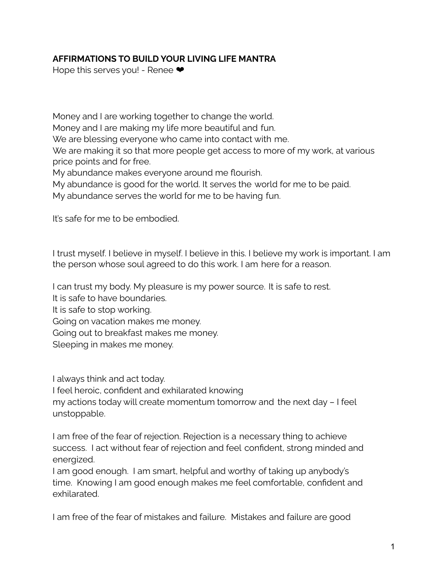## **AFFIRMATIONS TO BUILD YOUR LIVING LIFE MANTRA**

Hope this serves you! - Renee  $\bullet$ 

Money and I are working together to change the world. Money and I are making my life more beautiful and fun. We are blessing everyone who came into contact with me. We are making it so that more people get access to more of my work, at various price points and for free. My abundance makes everyone around me flourish.

My abundance is good for the world. It serves the world for me to be paid.

My abundance serves the world for me to be having fun.

It's safe for me to be embodied.

I trust myself. I believe in myself. I believe in this. I believe my work is important. I am the person whose soul agreed to do this work. I am here for a reason.

I can trust my body. My pleasure is my power source. It is safe to rest.

It is safe to have boundaries.

It is safe to stop working.

Going on vacation makes me money.

Going out to breakfast makes me money.

Sleeping in makes me money.

I always think and act today.

I feel heroic, confident and exhilarated knowing

my actions today will create momentum tomorrow and the next day – I feel unstoppable.

I am free of the fear of rejection. Rejection is a necessary thing to achieve success. I act without fear of rejection and feel confident, strong minded and energized.

I am good enough. I am smart, helpful and worthy of taking up anybody's time. Knowing I am good enough makes me feel comfortable, confident and exhilarated.

I am free of the fear of mistakes and failure. Mistakes and failure are good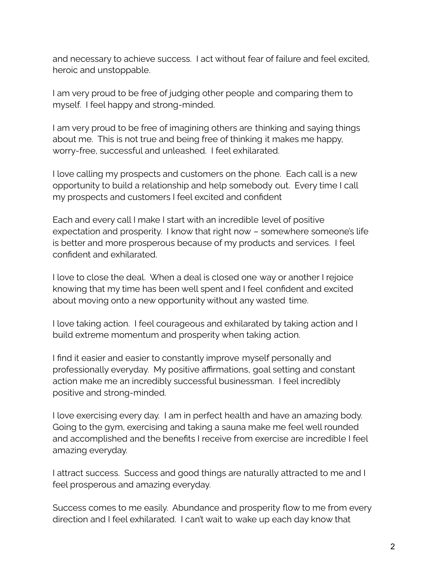and necessary to achieve success. I act without fear of failure and feel excited, heroic and unstoppable.

I am very proud to be free of judging other people and comparing them to myself. I feel happy and strong-minded.

I am very proud to be free of imagining others are thinking and saying things about me. This is not true and being free of thinking it makes me happy, worry-free, successful and unleashed. I feel exhilarated.

I love calling my prospects and customers on the phone. Each call is a new opportunity to build a relationship and help somebody out. Every time I call my prospects and customers I feel excited and confident

Each and every call I make I start with an incredible level of positive expectation and prosperity. I know that right now – somewhere someone's life is better and more prosperous because of my products and services. I feel confident and exhilarated.

I love to close the deal. When a deal is closed one way or another I rejoice knowing that my time has been well spent and I feel confident and excited about moving onto a new opportunity without any wasted time.

I love taking action. I feel courageous and exhilarated by taking action and I build extreme momentum and prosperity when taking action.

I find it easier and easier to constantly improve myself personally and professionally everyday. My positive affirmations, goal setting and constant action make me an incredibly successful businessman. I feel incredibly positive and strong-minded.

I love exercising every day. I am in perfect health and have an amazing body. Going to the gym, exercising and taking a sauna make me feel well rounded and accomplished and the benefits I receive from exercise are incredible I feel amazing everyday.

I attract success. Success and good things are naturally attracted to me and I feel prosperous and amazing everyday.

Success comes to me easily. Abundance and prosperity flow to me from every direction and I feel exhilarated. I can't wait to wake up each day know that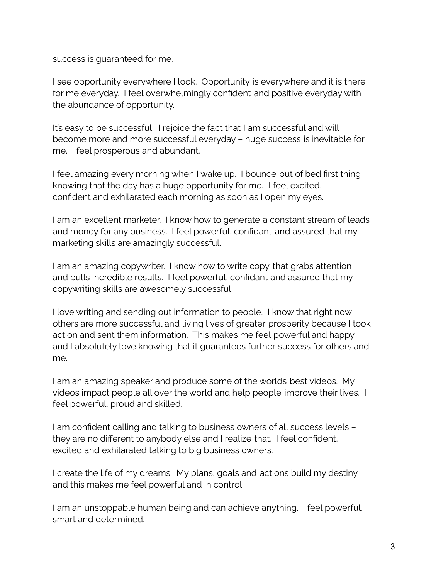success is guaranteed for me.

I see opportunity everywhere I look. Opportunity is everywhere and it is there for me everyday. I feel overwhelmingly confident and positive everyday with the abundance of opportunity.

It's easy to be successful. I rejoice the fact that I am successful and will become more and more successful everyday – huge success is inevitable for me. I feel prosperous and abundant.

I feel amazing every morning when I wake up. I bounce out of bed first thing knowing that the day has a huge opportunity for me. I feel excited, confident and exhilarated each morning as soon as I open my eyes.

I am an excellent marketer. I know how to generate a constant stream of leads and money for any business. I feel powerful, confidant and assured that my marketing skills are amazingly successful.

I am an amazing copywriter. I know how to write copy that grabs attention and pulls incredible results. I feel powerful, confidant and assured that my copywriting skills are awesomely successful.

I love writing and sending out information to people. I know that right now others are more successful and living lives of greater prosperity because I took action and sent them information. This makes me feel powerful and happy and I absolutely love knowing that it guarantees further success for others and me.

I am an amazing speaker and produce some of the worlds best videos. My videos impact people all over the world and help people improve their lives. I feel powerful, proud and skilled.

I am confident calling and talking to business owners of all success levels – they are no different to anybody else and I realize that. I feel confident, excited and exhilarated talking to big business owners.

I create the life of my dreams. My plans, goals and actions build my destiny and this makes me feel powerful and in control.

I am an unstoppable human being and can achieve anything. I feel powerful, smart and determined.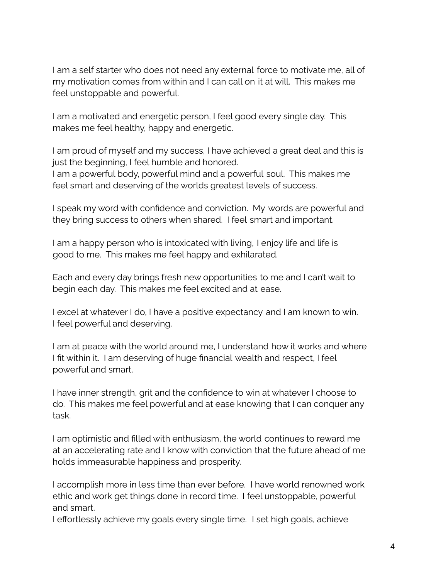I am a self starter who does not need any external force to motivate me, all of my motivation comes from within and I can call on it at will. This makes me feel unstoppable and powerful.

I am a motivated and energetic person, I feel good every single day. This makes me feel healthy, happy and energetic.

I am proud of myself and my success, I have achieved a great deal and this is just the beginning, I feel humble and honored. I am a powerful body, powerful mind and a powerful soul. This makes me feel smart and deserving of the worlds greatest levels of success.

I speak my word with confidence and conviction. My words are powerful and they bring success to others when shared. I feel smart and important.

I am a happy person who is intoxicated with living, I enjoy life and life is good to me. This makes me feel happy and exhilarated.

Each and every day brings fresh new opportunities to me and I can't wait to begin each day. This makes me feel excited and at ease.

I excel at whatever I do, I have a positive expectancy and I am known to win. I feel powerful and deserving.

I am at peace with the world around me, I understand how it works and where I fit within it. I am deserving of huge financial wealth and respect, I feel powerful and smart.

I have inner strength, grit and the confidence to win at whatever I choose to do. This makes me feel powerful and at ease knowing that I can conquer any task.

I am optimistic and filled with enthusiasm, the world continues to reward me at an accelerating rate and I know with conviction that the future ahead of me holds immeasurable happiness and prosperity.

I accomplish more in less time than ever before. I have world renowned work ethic and work get things done in record time. I feel unstoppable, powerful and smart.

I effortlessly achieve my goals every single time. I set high goals, achieve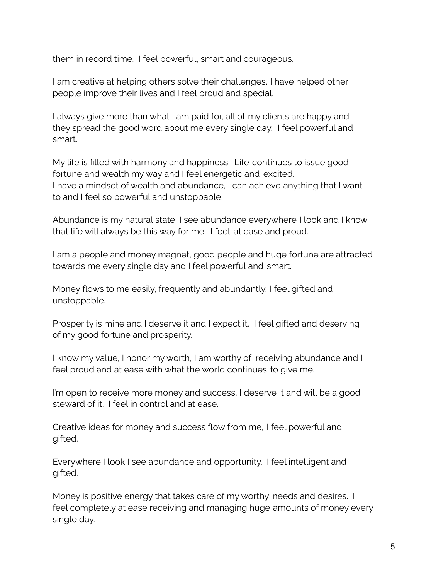them in record time. I feel powerful, smart and courageous.

I am creative at helping others solve their challenges, I have helped other people improve their lives and I feel proud and special.

I always give more than what I am paid for, all of my clients are happy and they spread the good word about me every single day. I feel powerful and smart.

My life is filled with harmony and happiness. Life continues to issue good fortune and wealth my way and I feel energetic and excited. I have a mindset of wealth and abundance, I can achieve anything that I want to and I feel so powerful and unstoppable.

Abundance is my natural state, I see abundance everywhere I look and I know that life will always be this way for me. I feel at ease and proud.

I am a people and money magnet, good people and huge fortune are attracted towards me every single day and I feel powerful and smart.

Money flows to me easily, frequently and abundantly, I feel gifted and unstoppable.

Prosperity is mine and I deserve it and I expect it. I feel gifted and deserving of my good fortune and prosperity.

I know my value, I honor my worth, I am worthy of receiving abundance and I feel proud and at ease with what the world continues to give me.

I'm open to receive more money and success, I deserve it and will be a good steward of it. I feel in control and at ease.

Creative ideas for money and success flow from me, I feel powerful and gifted.

Everywhere I look I see abundance and opportunity. I feel intelligent and gifted.

Money is positive energy that takes care of my worthy needs and desires. I feel completely at ease receiving and managing huge amounts of money every single day.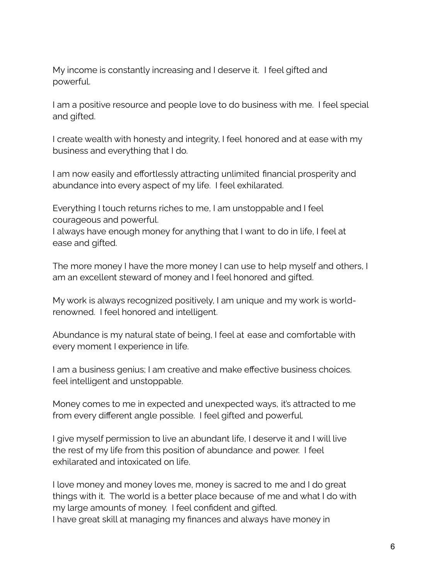My income is constantly increasing and I deserve it. I feel gifted and powerful.

I am a positive resource and people love to do business with me. I feel special and gifted.

I create wealth with honesty and integrity, I feel honored and at ease with my business and everything that I do.

I am now easily and effortlessly attracting unlimited financial prosperity and abundance into every aspect of my life. I feel exhilarated.

Everything I touch returns riches to me, I am unstoppable and I feel courageous and powerful.

I always have enough money for anything that I want to do in life, I feel at ease and gifted.

The more money I have the more money I can use to help myself and others, I am an excellent steward of money and I feel honored and gifted.

My work is always recognized positively, I am unique and my work is worldrenowned. I feel honored and intelligent.

Abundance is my natural state of being, I feel at ease and comfortable with every moment I experience in life.

I am a business genius; I am creative and make effective business choices. feel intelligent and unstoppable.

Money comes to me in expected and unexpected ways, it's attracted to me from every different angle possible. I feel gifted and powerful.

I give myself permission to live an abundant life, I deserve it and I will live the rest of my life from this position of abundance and power. I feel exhilarated and intoxicated on life.

I love money and money loves me, money is sacred to me and I do great things with it. The world is a better place because of me and what I do with my large amounts of money. I feel confident and gifted. I have great skill at managing my finances and always have money in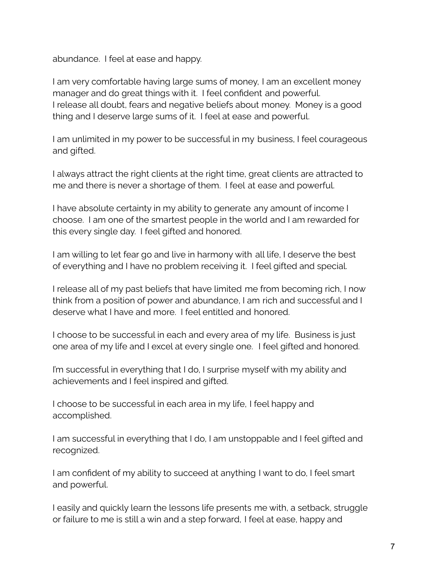abundance. I feel at ease and happy.

I am very comfortable having large sums of money, I am an excellent money manager and do great things with it. I feel confident and powerful. I release all doubt, fears and negative beliefs about money. Money is a good thing and I deserve large sums of it. I feel at ease and powerful.

I am unlimited in my power to be successful in my business, I feel courageous and gifted.

I always attract the right clients at the right time, great clients are attracted to me and there is never a shortage of them. I feel at ease and powerful.

I have absolute certainty in my ability to generate any amount of income I choose. I am one of the smartest people in the world and I am rewarded for this every single day. I feel gifted and honored.

I am willing to let fear go and live in harmony with all life, I deserve the best of everything and I have no problem receiving it. I feel gifted and special.

I release all of my past beliefs that have limited me from becoming rich, I now think from a position of power and abundance, I am rich and successful and I deserve what I have and more. I feel entitled and honored.

I choose to be successful in each and every area of my life. Business is just one area of my life and I excel at every single one. I feel gifted and honored.

I'm successful in everything that I do, I surprise myself with my ability and achievements and I feel inspired and gifted.

I choose to be successful in each area in my life, I feel happy and accomplished.

I am successful in everything that I do, I am unstoppable and I feel gifted and recognized.

I am confident of my ability to succeed at anything I want to do, I feel smart and powerful.

I easily and quickly learn the lessons life presents me with, a setback, struggle or failure to me is still a win and a step forward, I feel at ease, happy and